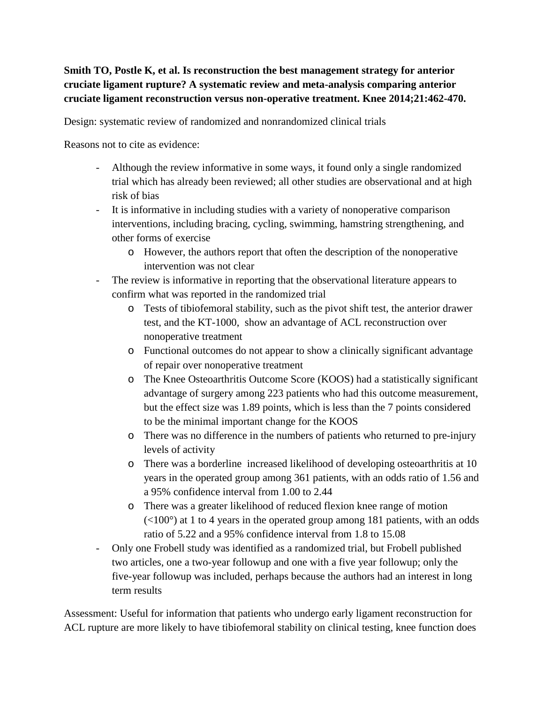## **Smith TO, Postle K, et al. Is reconstruction the best management strategy for anterior cruciate ligament rupture? A systematic review and meta-analysis comparing anterior cruciate ligament reconstruction versus non-operative treatment. Knee 2014;21:462-470.**

Design: systematic review of randomized and nonrandomized clinical trials

Reasons not to cite as evidence:

- Although the review informative in some ways, it found only a single randomized trial which has already been reviewed; all other studies are observational and at high risk of bias
- It is informative in including studies with a variety of nonoperative comparison interventions, including bracing, cycling, swimming, hamstring strengthening, and other forms of exercise
	- o However, the authors report that often the description of the nonoperative intervention was not clear
- The review is informative in reporting that the observational literature appears to confirm what was reported in the randomized trial
	- o Tests of tibiofemoral stability, such as the pivot shift test, the anterior drawer test, and the KT-1000, show an advantage of ACL reconstruction over nonoperative treatment
	- o Functional outcomes do not appear to show a clinically significant advantage of repair over nonoperative treatment
	- o The Knee Osteoarthritis Outcome Score (KOOS) had a statistically significant advantage of surgery among 223 patients who had this outcome measurement, but the effect size was 1.89 points, which is less than the 7 points considered to be the minimal important change for the KOOS
	- o There was no difference in the numbers of patients who returned to pre-injury levels of activity
	- o There was a borderline increased likelihood of developing osteoarthritis at 10 years in the operated group among 361 patients, with an odds ratio of 1.56 and a 95% confidence interval from 1.00 to 2.44
	- o There was a greater likelihood of reduced flexion knee range of motion  $(<100^{\circ}$ ) at 1 to 4 years in the operated group among 181 patients, with an odds ratio of 5.22 and a 95% confidence interval from 1.8 to 15.08
- Only one Frobell study was identified as a randomized trial, but Frobell published two articles, one a two-year followup and one with a five year followup; only the five-year followup was included, perhaps because the authors had an interest in long term results

Assessment: Useful for information that patients who undergo early ligament reconstruction for ACL rupture are more likely to have tibiofemoral stability on clinical testing, knee function does